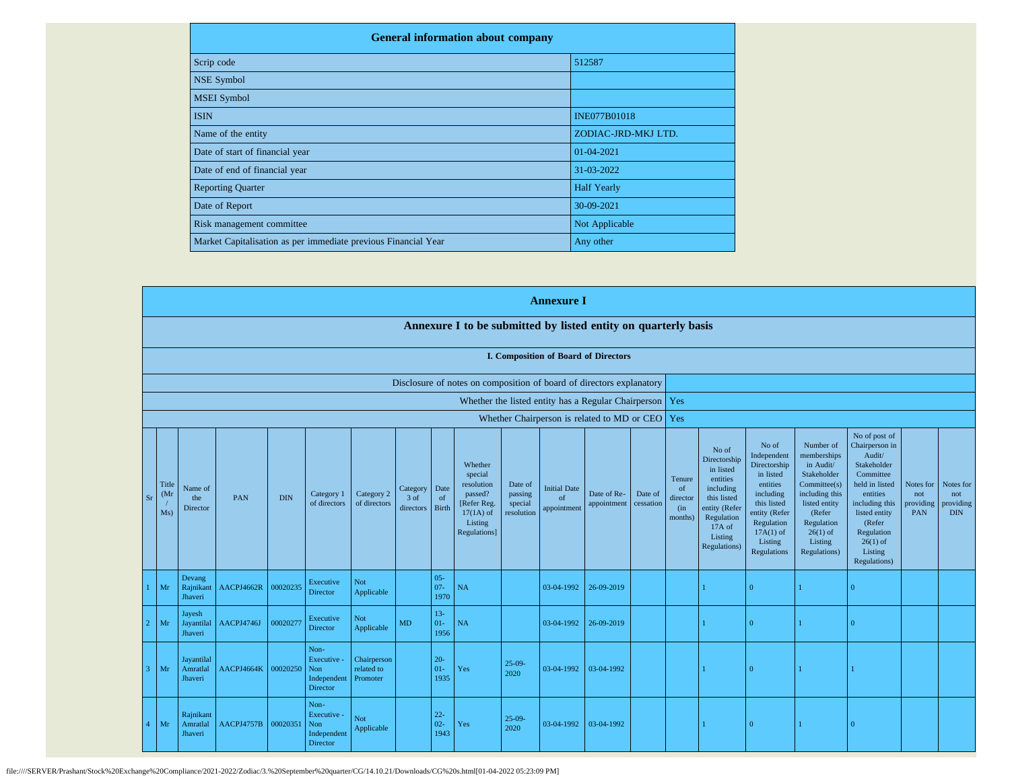| <b>General information about company</b>                       |                     |  |  |  |  |  |  |  |  |
|----------------------------------------------------------------|---------------------|--|--|--|--|--|--|--|--|
| Scrip code                                                     | 512587              |  |  |  |  |  |  |  |  |
| <b>NSE Symbol</b>                                              |                     |  |  |  |  |  |  |  |  |
| <b>MSEI</b> Symbol                                             |                     |  |  |  |  |  |  |  |  |
| <b>ISIN</b>                                                    | <b>INE077B01018</b> |  |  |  |  |  |  |  |  |
| Name of the entity                                             | ZODIAC-JRD-MKJ LTD. |  |  |  |  |  |  |  |  |
| Date of start of financial year                                | 01-04-2021          |  |  |  |  |  |  |  |  |
| Date of end of financial year                                  | 31-03-2022          |  |  |  |  |  |  |  |  |
| <b>Reporting Quarter</b>                                       | <b>Half Yearly</b>  |  |  |  |  |  |  |  |  |
| Date of Report                                                 | 30-09-2021          |  |  |  |  |  |  |  |  |
| Risk management committee                                      | Not Applicable      |  |  |  |  |  |  |  |  |
| Market Capitalisation as per immediate previous Financial Year | Any other           |  |  |  |  |  |  |  |  |

|                |                      |                                   |            |            |                                                              |                                       |                               |                          |                                                                                                      |                                             | <b>Annexure I</b>                        |                                                     |                      |                                                       |                                                                                                                                                |                                                                                                                                                                   |                                                                                                                                                                         |                                                                                                                                                                                                         |                                      |                                             |
|----------------|----------------------|-----------------------------------|------------|------------|--------------------------------------------------------------|---------------------------------------|-------------------------------|--------------------------|------------------------------------------------------------------------------------------------------|---------------------------------------------|------------------------------------------|-----------------------------------------------------|----------------------|-------------------------------------------------------|------------------------------------------------------------------------------------------------------------------------------------------------|-------------------------------------------------------------------------------------------------------------------------------------------------------------------|-------------------------------------------------------------------------------------------------------------------------------------------------------------------------|---------------------------------------------------------------------------------------------------------------------------------------------------------------------------------------------------------|--------------------------------------|---------------------------------------------|
|                |                      |                                   |            |            |                                                              |                                       |                               |                          | Annexure I to be submitted by listed entity on quarterly basis                                       |                                             |                                          |                                                     |                      |                                                       |                                                                                                                                                |                                                                                                                                                                   |                                                                                                                                                                         |                                                                                                                                                                                                         |                                      |                                             |
|                |                      |                                   |            |            |                                                              |                                       |                               |                          |                                                                                                      |                                             |                                          | I. Composition of Board of Directors                |                      |                                                       |                                                                                                                                                |                                                                                                                                                                   |                                                                                                                                                                         |                                                                                                                                                                                                         |                                      |                                             |
|                |                      |                                   |            |            |                                                              |                                       |                               |                          | Disclosure of notes on composition of board of directors explanatory                                 |                                             |                                          |                                                     |                      |                                                       |                                                                                                                                                |                                                                                                                                                                   |                                                                                                                                                                         |                                                                                                                                                                                                         |                                      |                                             |
|                |                      |                                   |            |            |                                                              |                                       |                               |                          |                                                                                                      |                                             |                                          | Whether the listed entity has a Regular Chairperson |                      | Yes                                                   |                                                                                                                                                |                                                                                                                                                                   |                                                                                                                                                                         |                                                                                                                                                                                                         |                                      |                                             |
|                |                      |                                   |            |            |                                                              |                                       |                               |                          |                                                                                                      |                                             |                                          | Whether Chairperson is related to MD or CEO         |                      | Yes                                                   |                                                                                                                                                |                                                                                                                                                                   |                                                                                                                                                                         |                                                                                                                                                                                                         |                                      |                                             |
| S <sub>I</sub> | Title<br>(Mr)<br>Ms) | Name of<br>the<br>Director        | PAN        | <b>DIN</b> | Category 1<br>of directors                                   | Category 2<br>of directors            | Category<br>3 of<br>directors | Date<br>of<br>Birth      | Whether<br>special<br>resolution<br>passed?<br>[Refer Reg.<br>$17(1A)$ of<br>Listing<br>Regulations] | Date of<br>passing<br>special<br>resolution | <b>Initial Date</b><br>of<br>appointment | Date of Re-<br>appointment                          | Date of<br>cessation | Tenure<br><sub>of</sub><br>director<br>(in<br>months) | No of<br>Directorship<br>in listed<br>entities<br>including<br>this listed<br>entity (Refer<br>Regulation<br>17A of<br>Listing<br>Regulations) | No of<br>Independent<br>Directorship<br>in listed<br>entities<br>including<br>this listed<br>entity (Refer<br>Regulation<br>$17A(1)$ of<br>Listing<br>Regulations | Number of<br>memberships<br>in Audit/<br>Stakeholder<br>Commitee(s)<br>including this<br>listed entity<br>(Refer<br>Regulation<br>$26(1)$ of<br>Listing<br>Regulations) | No of post of<br>Chairperson in<br>Audit/<br>Stakeholder<br>Committee<br>held in listed<br>entities<br>including this<br>listed entity<br>(Refer<br>Regulation<br>$26(1)$ of<br>Listing<br>Regulations) | Notes for<br>not<br>providing<br>PAN | Notes for<br>not<br>providing<br><b>DIN</b> |
|                | Mr                   | Devang<br>Rajnikant<br>Jhaveri    | AACPJ4662R | 00020235   | Executive<br>Director                                        | Not<br>Applicable                     |                               | $05 -$<br>$07 -$<br>1970 | <b>NA</b>                                                                                            |                                             | 03-04-1992                               | 26-09-2019                                          |                      |                                                       |                                                                                                                                                | $\Omega$                                                                                                                                                          |                                                                                                                                                                         | $\Omega$                                                                                                                                                                                                |                                      |                                             |
|                | Mr                   | Jayesh<br>Jayantilal<br>Jhaveri   | AACPJ4746J | 00020277   | Executive<br>Director                                        | <b>Not</b><br>Applicable              | MD                            | $13 -$<br>$01 -$<br>1956 | <b>NA</b>                                                                                            |                                             | 03-04-1992                               | 26-09-2019                                          |                      |                                                       |                                                                                                                                                | $\Omega$                                                                                                                                                          |                                                                                                                                                                         | $\Omega$                                                                                                                                                                                                |                                      |                                             |
|                | Mr                   | Jayantilal<br>Amratlal<br>Jhaveri | AACPJ4664K | 00020250   | Non-<br>Executive -<br>Non<br>Independent<br><b>Director</b> | Chairperson<br>related to<br>Promoter |                               | $20 -$<br>$01-$<br>1935  | Yes                                                                                                  | $25-09-$<br>2020                            | 03-04-1992                               | 03-04-1992                                          |                      |                                                       |                                                                                                                                                | $\Omega$                                                                                                                                                          |                                                                                                                                                                         |                                                                                                                                                                                                         |                                      |                                             |
|                | Mr                   | Rajnikant<br>Amratlal<br>Jhaveri  | AACPJ4757B | 00020351   | Non-<br>Executive -<br>Non<br>Independent<br>Director        | Not<br>Applicable                     |                               | $22 -$<br>$02 -$<br>1943 | Yes                                                                                                  | $25-09-$<br>2020                            | 03-04-1992                               | 03-04-1992                                          |                      |                                                       |                                                                                                                                                | $\overline{0}$                                                                                                                                                    |                                                                                                                                                                         | $\overline{0}$                                                                                                                                                                                          |                                      |                                             |

file:////SERVER/Prashant/Stock%20Exchange%20Compliance/2021-2022/Zodiac/3.%20September%20quarter/CG/14.10.21/Downloads/CG%20s.html[01-04-2022 05:23:09 PM]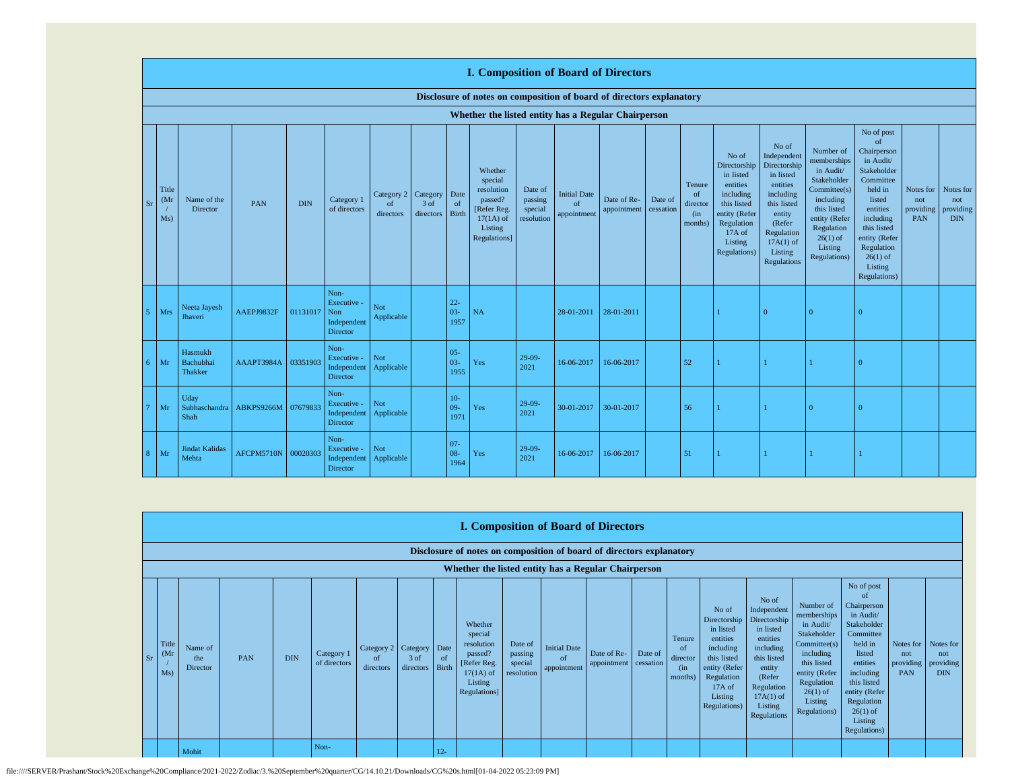|           |                                   |                                        |            |            |                                                       |                                        |                   |                            | <b>I. Composition of Board of Directors</b>                                                          |                                             |                                          |                            |                      |                                                        |                                                                                                                                                  |                                                                                                                                                                      |                                                                                                                                                                          |                                                                                                                                                                                                               |                                      |                                             |
|-----------|-----------------------------------|----------------------------------------|------------|------------|-------------------------------------------------------|----------------------------------------|-------------------|----------------------------|------------------------------------------------------------------------------------------------------|---------------------------------------------|------------------------------------------|----------------------------|----------------------|--------------------------------------------------------|--------------------------------------------------------------------------------------------------------------------------------------------------|----------------------------------------------------------------------------------------------------------------------------------------------------------------------|--------------------------------------------------------------------------------------------------------------------------------------------------------------------------|---------------------------------------------------------------------------------------------------------------------------------------------------------------------------------------------------------------|--------------------------------------|---------------------------------------------|
|           |                                   |                                        |            |            |                                                       |                                        |                   |                            | Disclosure of notes on composition of board of directors explanatory                                 |                                             |                                          |                            |                      |                                                        |                                                                                                                                                  |                                                                                                                                                                      |                                                                                                                                                                          |                                                                                                                                                                                                               |                                      |                                             |
|           |                                   |                                        |            |            |                                                       |                                        |                   |                            | Whether the listed entity has a Regular Chairperson                                                  |                                             |                                          |                            |                      |                                                        |                                                                                                                                                  |                                                                                                                                                                      |                                                                                                                                                                          |                                                                                                                                                                                                               |                                      |                                             |
| <b>Sr</b> | Title<br>(M <sub>I</sub> )<br>Ms) | Name of the<br>Director                | <b>PAN</b> | <b>DIN</b> | Category 1<br>of directors                            | Category 2 Category<br>of<br>directors | 3 of<br>directors | Date<br>of<br><b>Birth</b> | Whether<br>special<br>resolution<br>passed?<br>[Refer Reg.<br>$17(1A)$ of<br>Listing<br>Regulations] | Date of<br>passing<br>special<br>resolution | <b>Initial Date</b><br>of<br>appointment | Date of Re-<br>appointment | Date of<br>cessation | Tenure<br><sub>of</sub><br>director<br>(in)<br>months) | No of<br>Directorship<br>in listed<br>entities<br>including<br>this listed<br>entity (Refer<br>Regulation<br>$17A$ of<br>Listing<br>Regulations) | No of<br>Independent<br>Directorship<br>in listed<br>entities<br>including<br>this listed<br>entity<br>(Refer<br>Regulation<br>$17A(1)$ of<br>Listing<br>Regulations | Number of<br>memberships<br>in Audit/<br>Stakeholder<br>Committee(s)<br>including<br>this listed<br>entity (Refer<br>Regulation<br>$26(1)$ of<br>Listing<br>Regulations) | No of post<br>of<br>Chairperson<br>in Audit/<br>Stakeholder<br>Committee<br>held in<br>listed<br>entities<br>including<br>this listed<br>entity (Refer<br>Regulation<br>$26(1)$ of<br>Listing<br>Regulations) | Notes for<br>not<br>providing<br>PAN | Notes for<br>not<br>providing<br><b>DIN</b> |
|           | Mrs                               | Neeta Jayesh<br>Jhaveri                | AAEPJ9832F | 01131017   | Non-<br>Executive -<br>Non<br>Independent<br>Director | Not<br>Applicable                      |                   | $22 -$<br>$03 -$<br>1957   | NA                                                                                                   |                                             | 28-01-2011                               | 28-01-2011                 |                      |                                                        |                                                                                                                                                  | $\Omega$                                                                                                                                                             | $\Omega$                                                                                                                                                                 | $\Omega$                                                                                                                                                                                                      |                                      |                                             |
| б.        | Mr                                | Hasmukh<br>Bachubhai<br><b>Thakker</b> | AAAPT3984A | 03351903   | Non-<br>Executive -<br>Independent<br>Director        | Not<br>Applicable                      |                   | $05 -$<br>$03 -$<br>1955   | Yes                                                                                                  | $29-09-$<br>2021                            | 16-06-2017                               | 16-06-2017                 |                      | 52                                                     |                                                                                                                                                  |                                                                                                                                                                      |                                                                                                                                                                          | $\Omega$                                                                                                                                                                                                      |                                      |                                             |
|           | Mr                                | Udav<br>Subhaschandra<br>Shah          | ABKPS9266M | 07679833   | Non-<br>Executive -<br>Independent<br>Director        | Not<br>Applicable                      |                   | $10-$<br>$09 -$<br>1971    | Yes                                                                                                  | $29-09-$<br>2021                            | 30-01-2017                               | 30-01-2017                 |                      | 56                                                     |                                                                                                                                                  |                                                                                                                                                                      | $\Omega$                                                                                                                                                                 | $\Omega$                                                                                                                                                                                                      |                                      |                                             |
| 8.        | Mr                                | <b>Jindat Kalidas</b><br>Mehta         | AFCPM5710N | 00020303   | Non-<br>Executive -<br>Independent<br>Director        | Not<br>Applicable                      |                   | $07 -$<br>$08 -$<br>1964   | Yes                                                                                                  | $29-09-$<br>2021                            | 16-06-2017                               | 16-06-2017                 |                      | 51                                                     |                                                                                                                                                  |                                                                                                                                                                      |                                                                                                                                                                          |                                                                                                                                                                                                               |                                      |                                             |

|            | <b>I. Composition of Board of Directors</b> |                                                                      |     |            |                            |                                        |                   |                      |                                                                                                      |                                             |                                                  |                                      |         |                                                       |                                                                                                                                                |                                                                                                                                                                      |                                                                                                                                                                         |                                                                                                                                                                                                                          |                                             |                                             |
|------------|---------------------------------------------|----------------------------------------------------------------------|-----|------------|----------------------------|----------------------------------------|-------------------|----------------------|------------------------------------------------------------------------------------------------------|---------------------------------------------|--------------------------------------------------|--------------------------------------|---------|-------------------------------------------------------|------------------------------------------------------------------------------------------------------------------------------------------------|----------------------------------------------------------------------------------------------------------------------------------------------------------------------|-------------------------------------------------------------------------------------------------------------------------------------------------------------------------|--------------------------------------------------------------------------------------------------------------------------------------------------------------------------------------------------------------------------|---------------------------------------------|---------------------------------------------|
|            |                                             | Disclosure of notes on composition of board of directors explanatory |     |            |                            |                                        |                   |                      |                                                                                                      |                                             |                                                  |                                      |         |                                                       |                                                                                                                                                |                                                                                                                                                                      |                                                                                                                                                                         |                                                                                                                                                                                                                          |                                             |                                             |
|            |                                             | Whether the listed entity has a Regular Chairperson                  |     |            |                            |                                        |                   |                      |                                                                                                      |                                             |                                                  |                                      |         |                                                       |                                                                                                                                                |                                                                                                                                                                      |                                                                                                                                                                         |                                                                                                                                                                                                                          |                                             |                                             |
| $\vert$ Sr | Title<br>(M <sub>I</sub> )<br>Ms)           | Name of<br>the<br>Director                                           | PAN | <b>DIN</b> | Category 1<br>of directors | Category 2 Category<br>of<br>directors | 3 of<br>directors | Date<br>-of<br>Birth | Whether<br>special<br>resolution<br>passed?<br>[Refer Reg.<br>$17(1A)$ of<br>Listing<br>Regulations] | Date of<br>passing<br>special<br>resolution | <b>Initial Date</b><br>$\alpha$ f<br>appointment | Date of Re-<br>appointment cessation | Date of | Tenure<br><sup>of</sup><br>director<br>(in<br>months) | No of<br>Directorship<br>in listed<br>entities<br>including<br>this listed<br>entity (Refer<br>Regulation<br>17A of<br>Listing<br>Regulations) | No of<br>Independent<br>Directorship<br>in listed<br>entities<br>including<br>this listed<br>entity<br>(Refer<br>Regulation<br>$17A(1)$ of<br>Listing<br>Regulations | Number of<br>memberships<br>in Audit/<br>Stakeholder<br>Commitee(s)<br>including<br>this listed<br>entity (Refer<br>Regulation<br>$26(1)$ of<br>Listing<br>Regulations) | No of post<br><sup>of</sup><br>Chairperson<br>in Audit/<br>Stakeholder<br>Committee<br>held in<br>listed<br>entities<br>including<br>this listed<br>entity (Refer<br>Regulation<br>$26(1)$ of<br>Listing<br>Regulations) | Notes for<br>not<br>providing<br><b>PAN</b> | Notes for<br>not<br>providing<br><b>DIN</b> |
|            |                                             | Mohit                                                                |     |            | Non-                       |                                        |                   | $12 -$               |                                                                                                      |                                             |                                                  |                                      |         |                                                       |                                                                                                                                                |                                                                                                                                                                      |                                                                                                                                                                         |                                                                                                                                                                                                                          |                                             |                                             |

file:////SERVER/Prashant/Stock%20Exchange%20Compliance/2021-2022/Zodiac/3.%20September%20quarter/CG/14.10.21/Downloads/CG%20s.html[01-04-2022 05:23:09 PM]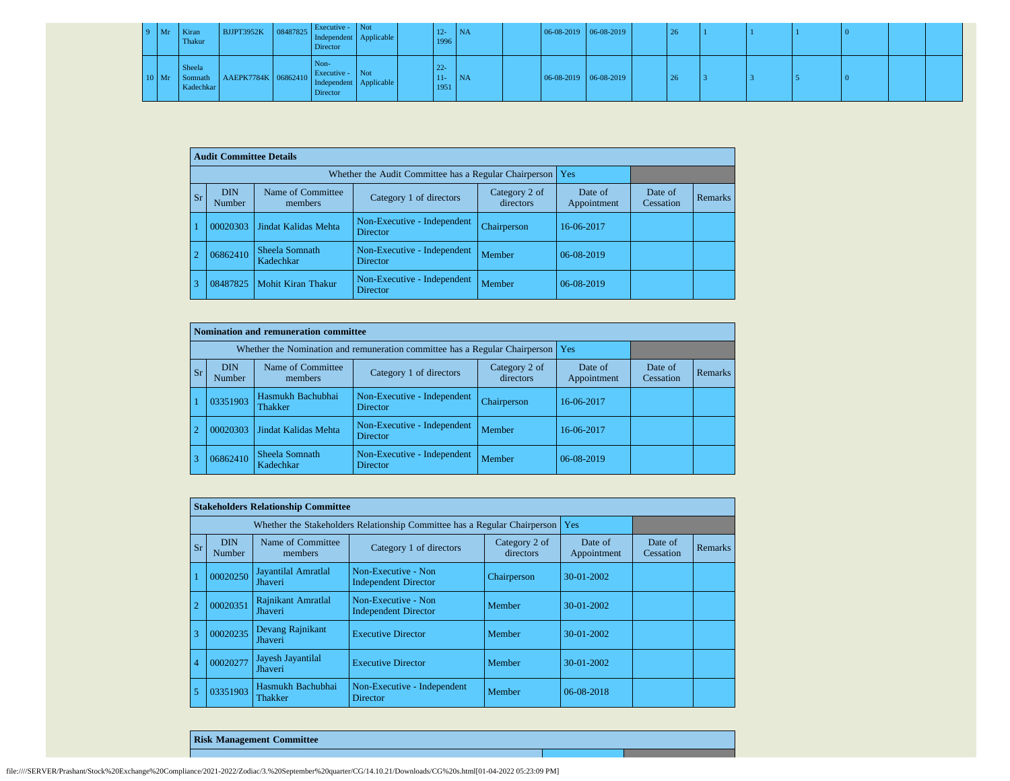| $9$ Mr  | Kiran<br>Thakur     | BJJPT3952K 08487825 Independent Applicable         | Executive - Not<br>Director         |  | $12 -$<br>1996           | <b>INA</b>      | $06-08-2019$ 06-08-2019 |  | 26 |  |  |  |
|---------|---------------------|----------------------------------------------------|-------------------------------------|--|--------------------------|-----------------|-------------------------|--|----|--|--|--|
| $10$ Mr | Sheela<br>Kadechkar | Somnath AAEPK7784K 06862410 Independent Applicable | Non-<br>Executive - Not<br>Director |  | $22 -$<br>$11 -$<br>1951 | N <sub>NA</sub> | $06-08-2019$ 06-08-2019 |  | 26 |  |  |  |

|           | <b>Audit Committee Details</b> |                              |                                                       |                            |                        |                      |                |
|-----------|--------------------------------|------------------------------|-------------------------------------------------------|----------------------------|------------------------|----------------------|----------------|
|           |                                |                              | Whether the Audit Committee has a Regular Chairperson |                            | Yes                    |                      |                |
| <b>Sr</b> | <b>DIN</b><br>Number           | Name of Committee<br>members | Category 1 of directors                               | Category 2 of<br>directors | Date of<br>Appointment | Date of<br>Cessation | <b>Remarks</b> |
|           | 00020303                       | Jindat Kalidas Mehta         | Non-Executive - Independent<br><b>Director</b>        | Chairperson                | 16-06-2017             |                      |                |
|           | 06862410                       | Sheela Somnath<br>Kadechkar  | Non-Executive - Independent<br><b>Director</b>        | Member                     | 06-08-2019             |                      |                |
| 13        | 08487825                       | <b>Mohit Kiran Thakur</b>    | Non-Executive - Independent<br>Director               | Member                     | 06-08-2019             |                      |                |

|            | Nomination and remuneration committee |                              |                                                                             |                            |                        |                      |         |  |  |  |  |  |
|------------|---------------------------------------|------------------------------|-----------------------------------------------------------------------------|----------------------------|------------------------|----------------------|---------|--|--|--|--|--|
|            |                                       |                              | Whether the Nomination and remuneration committee has a Regular Chairperson |                            | Yes                    |                      |         |  |  |  |  |  |
| <b>Sr</b>  | <b>DIN</b><br>Number                  | Name of Committee<br>members | Category 1 of directors                                                     | Category 2 of<br>directors | Date of<br>Appointment | Date of<br>Cessation | Remarks |  |  |  |  |  |
|            | 03351903                              | Hasmukh Bachubhai<br>Thakker | Non-Executive - Independent<br><b>Director</b>                              | Chairperson                | 16-06-2017             |                      |         |  |  |  |  |  |
| $\sqrt{2}$ | 00020303                              | Jindat Kalidas Mehta         | Non-Executive - Independent<br><b>Director</b>                              | Member                     | 16-06-2017             |                      |         |  |  |  |  |  |
|            | 06862410                              | Sheela Somnath<br>Kadechkar  | Non-Executive - Independent<br><b>Director</b>                              | Member                     | 06-08-2019             |                      |         |  |  |  |  |  |

|                |                      | <b>Stakeholders Relationship Committee</b> |                                                                           |                            |                        |                      |                |
|----------------|----------------------|--------------------------------------------|---------------------------------------------------------------------------|----------------------------|------------------------|----------------------|----------------|
|                |                      |                                            | Whether the Stakeholders Relationship Committee has a Regular Chairperson |                            | Yes                    |                      |                |
| Sr             | <b>DIN</b><br>Number | Name of Committee<br>members               | Category 1 of directors                                                   | Category 2 of<br>directors | Date of<br>Appointment | Date of<br>Cessation | <b>Remarks</b> |
|                | 00020250             | Jayantilal Amratlal<br>Jhaveri             | Non-Executive - Non<br><b>Independent Director</b>                        | Chairperson                | $30-01-2002$           |                      |                |
|                | 00020351             | Rajnikant Amratlal<br>Jhaveri              | Non-Executive - Non<br><b>Independent Director</b>                        | Member                     | $30-01-2002$           |                      |                |
| 3              | 00020235             | Devang Rajnikant<br>Jhaveri                | <b>Executive Director</b>                                                 | Member                     | $30-01-2002$           |                      |                |
| $\overline{4}$ | 00020277             | Jayesh Jayantilal<br><b>Jhaveri</b>        | <b>Executive Director</b>                                                 | Member                     | 30-01-2002             |                      |                |
| 5              | 03351903             | Hasmukh Bachubhai<br>Thakker               | Non-Executive - Independent<br>Director                                   | Member                     | 06-08-2018             |                      |                |

**Risk Management Committee**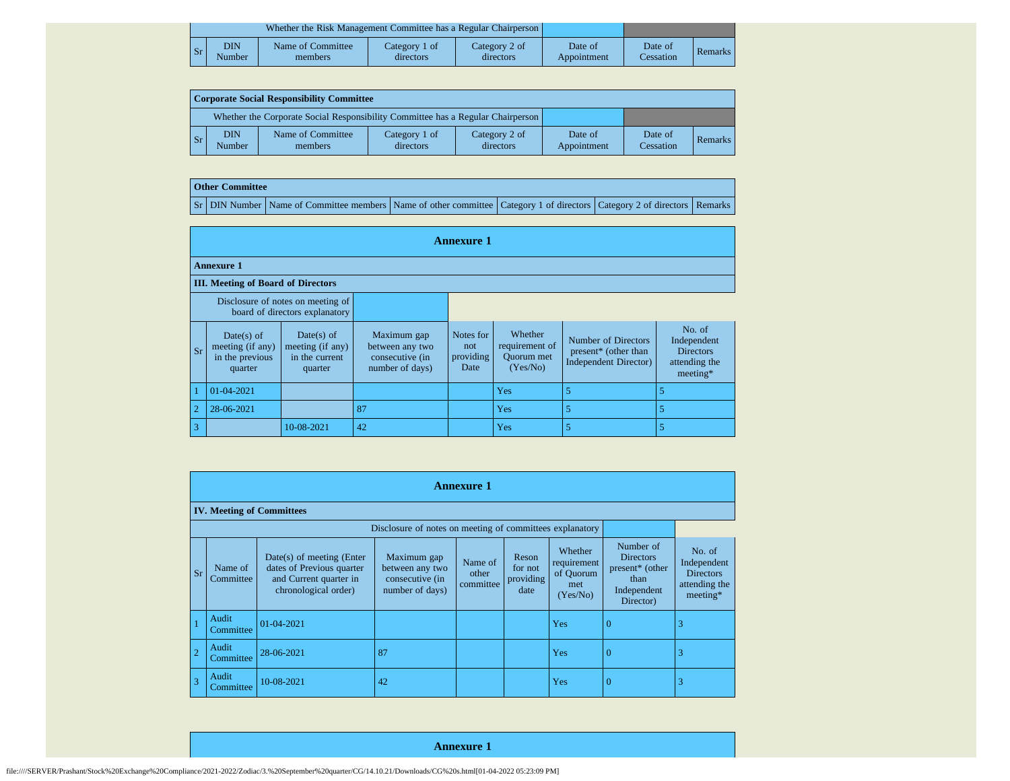|    |               | Whether the Risk Management Committee has a Regular Chairperson |                            |                            |                        |                      |         |
|----|---------------|-----------------------------------------------------------------|----------------------------|----------------------------|------------------------|----------------------|---------|
| Sr | DIN<br>Number | Name of Committee<br>members                                    | Category 1 of<br>directors | Category 2 of<br>directors | Date of<br>Appointment | Date of<br>Cessation | Remarks |

| Corporate Social Responsibility Committee |                      |                                                                                 |                            |                            |                        |                      |         |  |  |  |  |
|-------------------------------------------|----------------------|---------------------------------------------------------------------------------|----------------------------|----------------------------|------------------------|----------------------|---------|--|--|--|--|
|                                           |                      | Whether the Corporate Social Responsibility Committee has a Regular Chairperson |                            |                            |                        |                      |         |  |  |  |  |
| l Sr                                      | <b>DIN</b><br>Number | Name of Committee<br>members                                                    | Category 1 of<br>directors | Category 2 of<br>directors | Date of<br>Appointment | Date of<br>Cessation | Remarks |  |  |  |  |

## **Other Committee**

Sr DIN Number Name of Committee members Name of other committee Category 1 of directors Category 2 of directors Remarks

|                         | <b>Annexure 1</b>                                                   |                                                             |                                                                      |                                       |                                                            |                                                                      |                                                                          |  |  |  |  |  |  |  |
|-------------------------|---------------------------------------------------------------------|-------------------------------------------------------------|----------------------------------------------------------------------|---------------------------------------|------------------------------------------------------------|----------------------------------------------------------------------|--------------------------------------------------------------------------|--|--|--|--|--|--|--|
|                         | <b>Annexure 1</b>                                                   |                                                             |                                                                      |                                       |                                                            |                                                                      |                                                                          |  |  |  |  |  |  |  |
|                         | <b>III. Meeting of Board of Directors</b>                           |                                                             |                                                                      |                                       |                                                            |                                                                      |                                                                          |  |  |  |  |  |  |  |
|                         | Disclosure of notes on meeting of<br>board of directors explanatory |                                                             |                                                                      |                                       |                                                            |                                                                      |                                                                          |  |  |  |  |  |  |  |
| $\mathbf{s}$ r          | $Date(s)$ of<br>meeting (if any)<br>in the previous<br>quarter      | Date(s) of<br>meeting (if any)<br>in the current<br>quarter | Maximum gap<br>between any two<br>consecutive (in<br>number of days) | Notes for<br>not<br>providing<br>Date | Whether<br>requirement of<br><b>Ouorum</b> met<br>(Yes/No) | Number of Directors<br>present* (other than<br>Independent Director) | No. of<br>Independent<br><b>Directors</b><br>attending the<br>$meeting*$ |  |  |  |  |  |  |  |
|                         | 01-04-2021                                                          |                                                             |                                                                      |                                       | Yes                                                        | 5                                                                    |                                                                          |  |  |  |  |  |  |  |
| $\overline{2}$          | 28-06-2021                                                          |                                                             | 87                                                                   |                                       | Yes                                                        | 5                                                                    |                                                                          |  |  |  |  |  |  |  |
| $\overline{\mathbf{3}}$ |                                                                     | 10-08-2021                                                  | 42                                                                   |                                       | Yes                                                        | 5                                                                    |                                                                          |  |  |  |  |  |  |  |

|                |                      |                                                                                                          |                                                                      | <b>Annexure 1</b>             |                                       |                                                        |                                                                                      |                                                                        |
|----------------|----------------------|----------------------------------------------------------------------------------------------------------|----------------------------------------------------------------------|-------------------------------|---------------------------------------|--------------------------------------------------------|--------------------------------------------------------------------------------------|------------------------------------------------------------------------|
|                |                      | <b>IV. Meeting of Committees</b>                                                                         |                                                                      |                               |                                       |                                                        |                                                                                      |                                                                        |
|                |                      |                                                                                                          |                                                                      |                               |                                       |                                                        |                                                                                      |                                                                        |
| <b>Sr</b>      | Name of<br>Committee | Date(s) of meeting (Enter<br>dates of Previous quarter<br>and Current quarter in<br>chronological order) | Maximum gap<br>between any two<br>consecutive (in<br>number of days) | Name of<br>other<br>committee | Reson<br>for not<br>providing<br>date | Whether<br>requirement<br>of Quorum<br>met<br>(Yes/No) | Number of<br><b>Directors</b><br>present* (other<br>than<br>Independent<br>Director) | No. of<br>Independent<br><b>Directors</b><br>attending the<br>meeting* |
|                | Audit<br>Committee   | $01 - 04 - 2021$                                                                                         |                                                                      |                               |                                       | Yes                                                    | $\Omega$                                                                             | 3                                                                      |
| $\overline{2}$ | Audit<br>Committee   | 28-06-2021                                                                                               | 87                                                                   |                               |                                       | Yes                                                    | $\Omega$                                                                             | 3                                                                      |
| 3              | Audit<br>Committee   | 10-08-2021                                                                                               | 42                                                                   |                               |                                       | Yes                                                    | $\Omega$                                                                             | 3                                                                      |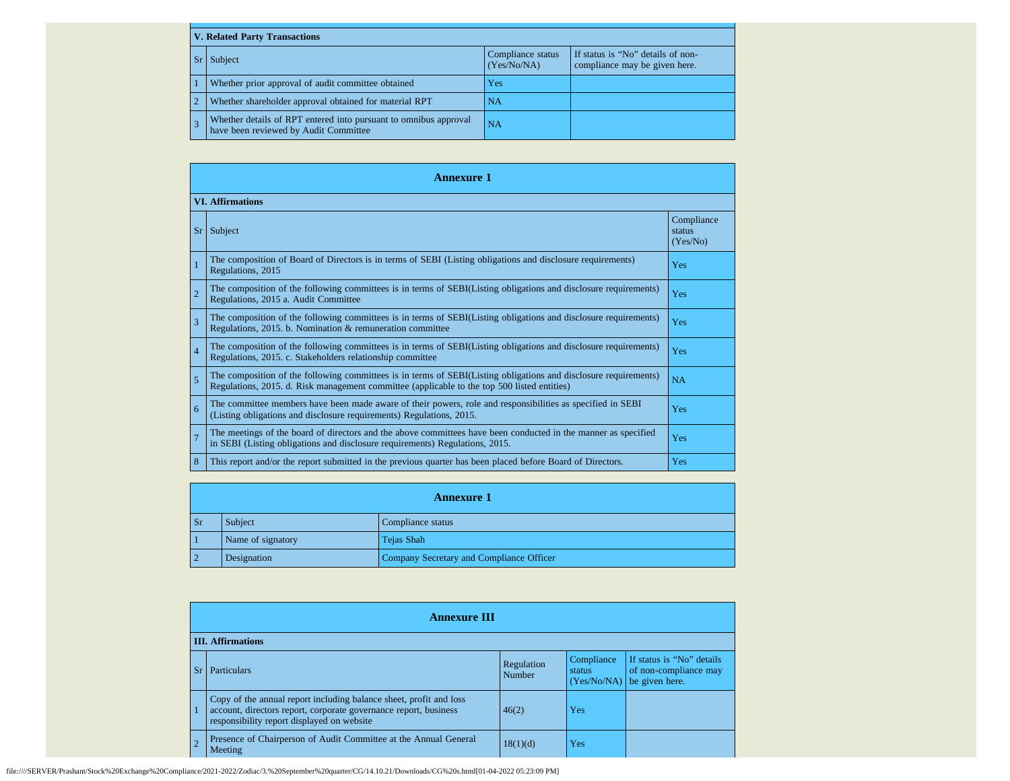| <b>V. Related Party Transactions</b>                                                                      |                                  |                                                                    |  |  |
|-----------------------------------------------------------------------------------------------------------|----------------------------------|--------------------------------------------------------------------|--|--|
| Subject                                                                                                   | Compliance status<br>(Yes/No/NA) | If status is "No" details of non-<br>compliance may be given here. |  |  |
| Whether prior approval of audit committee obtained                                                        | Yes                              |                                                                    |  |  |
| Whether shareholder approval obtained for material RPT                                                    | <b>NA</b>                        |                                                                    |  |  |
| Whether details of RPT entered into pursuant to omnibus approval<br>have been reviewed by Audit Committee | <b>NA</b>                        |                                                                    |  |  |

|                | <b>Annexure 1</b>                                                                                                                                                                                               |                                  |  |  |
|----------------|-----------------------------------------------------------------------------------------------------------------------------------------------------------------------------------------------------------------|----------------------------------|--|--|
|                | <b>VI.</b> Affirmations                                                                                                                                                                                         |                                  |  |  |
| Sr             | Subject                                                                                                                                                                                                         | Compliance<br>status<br>(Yes/No) |  |  |
| $\overline{1}$ | The composition of Board of Directors is in terms of SEBI (Listing obligations and disclosure requirements)<br>Regulations, 2015                                                                                | Yes                              |  |  |
| $\overline{2}$ | The composition of the following committees is in terms of SEBI(Listing obligations and disclosure requirements)<br>Regulations, 2015 a. Audit Committee                                                        | Yes                              |  |  |
| 3              | The composition of the following committees is in terms of SEBI(Listing obligations and disclosure requirements)<br>Regulations, 2015. b. Nomination & remuneration committee                                   | Yes                              |  |  |
| $\overline{4}$ | The composition of the following committees is in terms of SEBI(Listing obligations and disclosure requirements)<br>Regulations, 2015. c. Stakeholders relationship committee                                   | Yes                              |  |  |
| 5              | The composition of the following committees is in terms of SEBI(Listing obligations and disclosure requirements)<br>Regulations, 2015. d. Risk management committee (applicable to the top 500 listed entities) | <b>NA</b>                        |  |  |
| 6              | The committee members have been made aware of their powers, role and responsibilities as specified in SEBI<br>(Listing obligations and disclosure requirements) Regulations, 2015.                              | Yes                              |  |  |
| $\overline{7}$ | The meetings of the board of directors and the above committees have been conducted in the manner as specified<br>in SEBI (Listing obligations and disclosure requirements) Regulations, 2015.                  | Yes                              |  |  |
| 8              | This report and/or the report submitted in the previous quarter has been placed before Board of Directors.                                                                                                      | Yes                              |  |  |

|            | <b>Annexure 1</b> |                                          |  |
|------------|-------------------|------------------------------------------|--|
| Sr         | Subject           | Compliance status                        |  |
|            | Name of signatory | Tejas Shah                               |  |
| $\sqrt{2}$ | Designation       | Company Secretary and Compliance Officer |  |

|           | <b>Annexure III</b>                                                                                                                                                                  |                      |                                     |                                                                      |
|-----------|--------------------------------------------------------------------------------------------------------------------------------------------------------------------------------------|----------------------|-------------------------------------|----------------------------------------------------------------------|
|           | <b>III.</b> Affirmations                                                                                                                                                             |                      |                                     |                                                                      |
| <b>Sr</b> | Particulars                                                                                                                                                                          | Regulation<br>Number | Compliance<br>status<br>(Yes/No/NA) | If status is "No" details<br>of non-compliance may<br>be given here. |
|           | Copy of the annual report including balance sheet, profit and loss<br>account, directors report, corporate governance report, business<br>responsibility report displayed on website | 46(2)                | Yes                                 |                                                                      |
|           | Presence of Chairperson of Audit Committee at the Annual General<br>Meeting                                                                                                          | 18(1)(d)             | Yes                                 |                                                                      |

file:////SERVER/Prashant/Stock%20Exchange%20Compliance/2021-2022/Zodiac/3.%20September%20quarter/CG/14.10.21/Downloads/CG%20s.html[01-04-2022 05:23:09 PM]